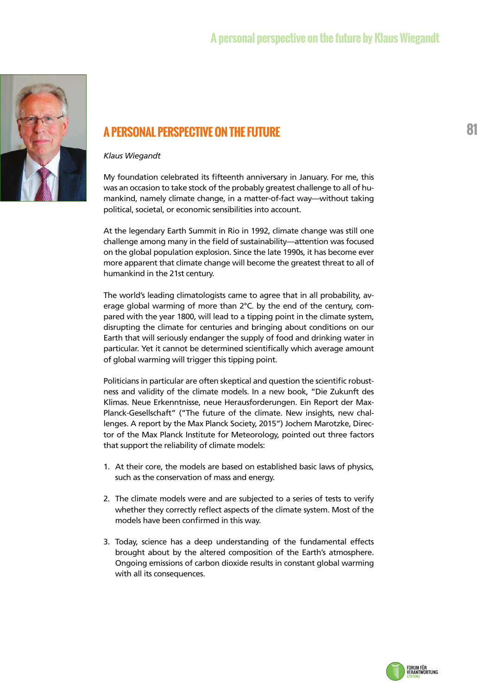## **A personal perspective on the future by Klaus Wiegandt**



## **A PERSONAL PERSPECTIVE ON THE FUTURE**

## *Klaus Wiegandt*

My foundation celebrated its fifteenth anniversary in January. For me, this was an occasion to take stock of the probably greatest challenge to all of humankind, namely climate change, in a matter-of-fact way—without taking political, societal, or economic sensibilities into account.

At the legendary Earth Summit in Rio in 1992, climate change was still one challenge among many in the field of sustainability—attention was focused on the global population explosion. Since the late 1990s, it has become ever more apparent that climate change will become the greatest threat to all of humankind in the 21st century.

The world's leading climatologists came to agree that in all probability, average global warming of more than 2°C. by the end of the century, compared with the year 1800, will lead to a tipping point in the climate system, disrupting the climate for centuries and bringing about conditions on our Earth that will seriously endanger the supply of food and drinking water in particular. Yet it cannot be determined scientifically which average amount of global warming will trigger this tipping point.

Politicians in particular are often skeptical and question the scientific robustness and validity of the climate models. In a new book, "Die Zukunft des Klimas. Neue Erkenntnisse, neue Herausforderungen. Ein Report der Max-Planck-Gesellschaft" ("The future of the climate. New insights, new challenges. A report by the Max Planck Society, 2015") Jochem Marotzke, Director of the Max Planck Institute for Meteorology, pointed out three factors that support the reliability of climate models:

- 1. At their core, the models are based on established basic laws of physics, such as the conservation of mass and energy.
- 2. The climate models were and are subjected to a series of tests to verify whether they correctly reflect aspects of the climate system. Most of the models have been confirmed in this way.
- 3. Today, science has a deep understanding of the fundamental effects brought about by the altered composition of the Earth's atmosphere. Ongoing emissions of carbon dioxide results in constant global warming with all its consequences.



**81**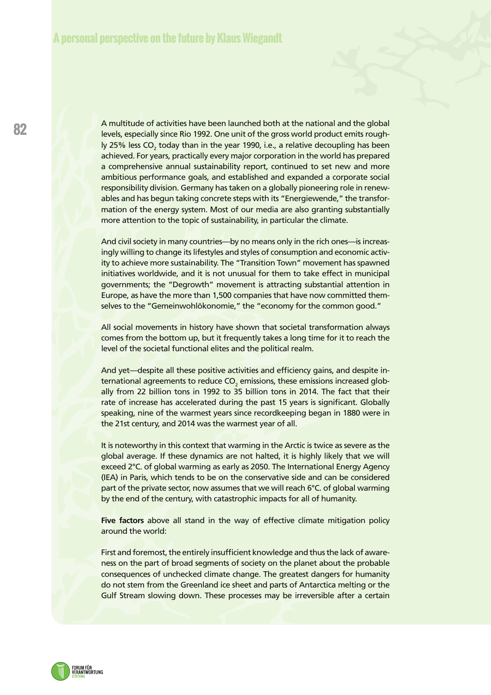A multitude of activities have been launched both at the national and the global levels, especially since Rio 1992. One unit of the gross world product emits roughly 25% less CO<sub>2</sub> today than in the year 1990, i.e., a relative decoupling has been achieved. For years, practically every major corporation in the world has prepared a comprehensive annual sustainability report, continued to set new and more ambitious performance goals, and established and expanded a corporate social responsibility division. Germany has taken on a globally pioneering role in renewables and has begun taking concrete steps with its "Energiewende," the transformation of the energy system. Most of our media are also granting substantially more attention to the topic of sustainability, in particular the climate.

And civil society in many countries—by no means only in the rich ones—is increasingly willing to change its lifestyles and styles of consumption and economic activity to achieve more sustainability. The "Transition Town" movement has spawned initiatives worldwide, and it is not unusual for them to take effect in municipal governments; the "Degrowth" movement is attracting substantial attention in Europe, as have the more than 1,500 companies that have now committed themselves to the "Gemeinwohlökonomie," the "economy for the common good."

All social movements in history have shown that societal transformation always comes from the bottom up, but it frequently takes a long time for it to reach the level of the societal functional elites and the political realm.

And yet—despite all these positive activities and efficiency gains, and despite international agreements to reduce CO $_{_2}$  emissions, these emissions increased globally from 22 billion tons in 1992 to 35 billion tons in 2014. The fact that their rate of increase has accelerated during the past 15 years is significant. Globally speaking, nine of the warmest years since recordkeeping began in 1880 were in the 21st century, and 2014 was the warmest year of all.

It is noteworthy in this context that warming in the Arctic is twice as severe as the global average. If these dynamics are not halted, it is highly likely that we will exceed 2°C. of global warming as early as 2050. The International Energy Agency (IEA) in Paris, which tends to be on the conservative side and can be considered part of the private sector, now assumes that we will reach 6°C. of global warming by the end of the century, with catastrophic impacts for all of humanity.

Five factors above all stand in the way of effective climate mitigation policy around the world:

First and foremost, the entirely insufficient knowledge and thus the lack of awareness on the part of broad segments of society on the planet about the probable consequences of unchecked climate change. The greatest dangers for humanity do not stem from the Greenland ice sheet and parts of Antarctica melting or the Gulf Stream slowing down. These processes may be irreversible after a certain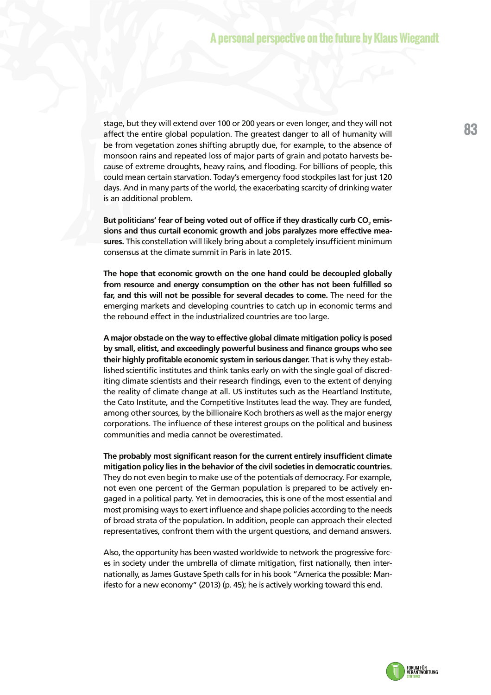stage, but they will extend over 100 or 200 years or even longer, and they will not affect the entire global population. The greatest danger to all of humanity will be from vegetation zones shifting abruptly due, for example, to the absence of monsoon rains and repeated loss of major parts of grain and potato harvests because of extreme droughts, heavy rains, and flooding. For billions of people, this could mean certain starvation. Today's emergency food stockpiles last for just 120 days. And in many parts of the world, the exacerbating scarcity of drinking water is an additional problem.

But politicians' fear of being voted out of office if they drastically curb CO<sub>2</sub> emis**sions and thus curtail economic growth and jobs paralyzes more effective measures.** This constellation will likely bring about a completely insufficient minimum consensus at the climate summit in Paris in late 2015.

**The hope that economic growth on the one hand could be decoupled globally from resource and energy consumption on the other has not been fulfilled so far, and this will not be possible for several decades to come.** The need for the emerging markets and developing countries to catch up in economic terms and the rebound effect in the industrialized countries are too large.

**A major obstacle on the way to effective global climate mitigation policy is posed by small, elitist, and exceedingly powerful business and finance groups who see their highly profitable economic system in serious danger.** That is why they established scientific institutes and think tanks early on with the single goal of discrediting climate scientists and their research findings, even to the extent of denying the reality of climate change at all. US institutes such as the Heartland Institute, the Cato Institute, and the Competitive Institutes lead the way. They are funded, among other sources, by the billionaire Koch brothers as well as the major energy corporations. The influence of these interest groups on the political and business communities and media cannot be overestimated.

**The probably most significant reason for the current entirely insufficient climate mitigation policy lies in the behavior of the civil societies in democratic countries.** They do not even begin to make use of the potentials of democracy. For example, not even one percent of the German population is prepared to be actively engaged in a political party. Yet in democracies, this is one of the most essential and most promising ways to exert influence and shape policies according to the needs of broad strata of the population. In addition, people can approach their elected representatives, confront them with the urgent questions, and demand answers.

Also, the opportunity has been wasted worldwide to network the progressive forces in society under the umbrella of climate mitigation, first nationally, then internationally, as James Gustave Speth calls for in his book "America the possible: Manifesto for a new economy" (2013) (p. 45); he is actively working toward this end.

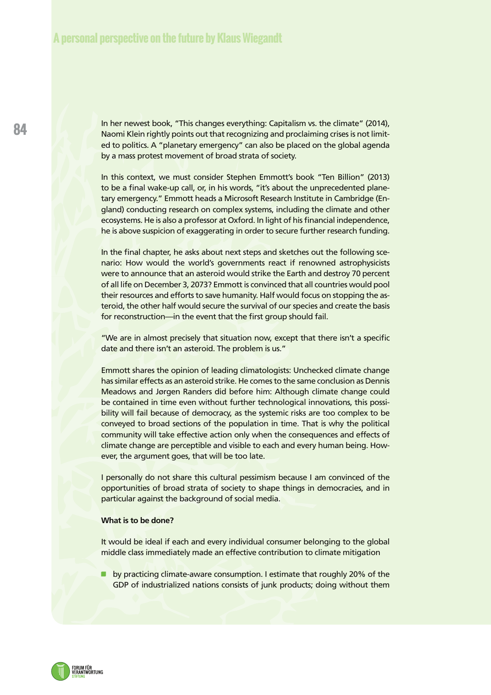In her newest book, "This changes everything: Capitalism vs. the climate" (2014), Naomi Klein rightly points out that recognizing and proclaiming crises is not limited to politics. A "planetary emergency" can also be placed on the global agenda by a mass protest movement of broad strata of society.

In this context, we must consider Stephen Emmott's book "Ten Billion" (2013) to be a final wake-up call, or, in his words, "it's about the unprecedented planetary emergency." Emmott heads a Microsoft Research Institute in Cambridge (England) conducting research on complex systems, including the climate and other ecosystems. He is also a professor at Oxford. In light of his financial independence, he is above suspicion of exaggerating in order to secure further research funding.

In the final chapter, he asks about next steps and sketches out the following scenario: How would the world's governments react if renowned astrophysicists were to announce that an asteroid would strike the Earth and destroy 70 percent of all life on December 3, 2073? Emmott is convinced that all countries would pool their resources and efforts to save humanity. Half would focus on stopping the asteroid, the other half would secure the survival of our species and create the basis for reconstruction—in the event that the first group should fail.

"We are in almost precisely that situation now, except that there isn't a specific date and there isn't an asteroid. The problem is us."

Emmott shares the opinion of leading climatologists: Unchecked climate change has similar effects as an asteroid strike. He comes to the same conclusion as Dennis Meadows and Jørgen Randers did before him: Although climate change could be contained in time even without further technological innovations, this possibility will fail because of democracy, as the systemic risks are too complex to be conveyed to broad sections of the population in time. That is why the political community will take effective action only when the consequences and effects of climate change are perceptible and visible to each and every human being. However, the argument goes, that will be too late.

I personally do not share this cultural pessimism because I am convinced of the opportunities of broad strata of society to shape things in democracies, and in particular against the background of social media.

## **What is to be done?**

It would be ideal if each and every individual consumer belonging to the global middle class immediately made an effective contribution to climate mitigation

**D** by practicing climate-aware consumption. I estimate that roughly 20% of the GDP of industrialized nations consists of junk products; doing without them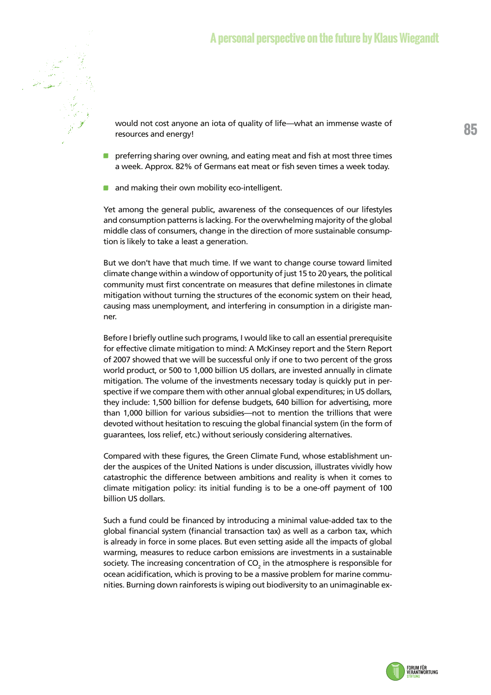

would not cost anyone an iota of quality of life—what an immense waste of resources and energy!

- **P** preferring sharing over owning, and eating meat and fish at most three times a week. Approx. 82% of Germans eat meat or fish seven times a week today.
- and making their own mobility eco-intelligent.

Yet among the general public, awareness of the consequences of our lifestyles and consumption patterns is lacking. For the overwhelming majority of the global middle class of consumers, change in the direction of more sustainable consumption is likely to take a least a generation.

But we don't have that much time. If we want to change course toward limited climate change within a window of opportunity of just 15 to 20 years, the political community must first concentrate on measures that define milestones in climate mitigation without turning the structures of the economic system on their head, causing mass unemployment, and interfering in consumption in a dirigiste manner.

Before I briefly outline such programs, I would like to call an essential prerequisite for effective climate mitigation to mind: A McKinsey report and the Stern Report of 2007 showed that we will be successful only if one to two percent of the gross world product, or 500 to 1,000 billion US dollars, are invested annually in climate mitigation. The volume of the investments necessary today is quickly put in perspective if we compare them with other annual global expenditures; in US dollars, they include: 1,500 billion for defense budgets, 640 billion for advertising, more than 1,000 billion for various subsidies—not to mention the trillions that were devoted without hesitation to rescuing the global financial system (in the form of guarantees, loss relief, etc.) without seriously considering alternatives.

Compared with these figures, the Green Climate Fund, whose establishment under the auspices of the United Nations is under discussion, illustrates vividly how catastrophic the difference between ambitions and reality is when it comes to climate mitigation policy: its initial funding is to be a one-off payment of 100 billion US dollars.

Such a fund could be financed by introducing a minimal value-added tax to the global financial system (financial transaction tax) as well as a carbon tax, which is already in force in some places. But even setting aside all the impacts of global warming, measures to reduce carbon emissions are investments in a sustainable society. The increasing concentration of CO<sub>2</sub> in the atmosphere is responsible for ocean acidification, which is proving to be a massive problem for marine communities. Burning down rainforests is wiping out biodiversity to an unimaginable ex-

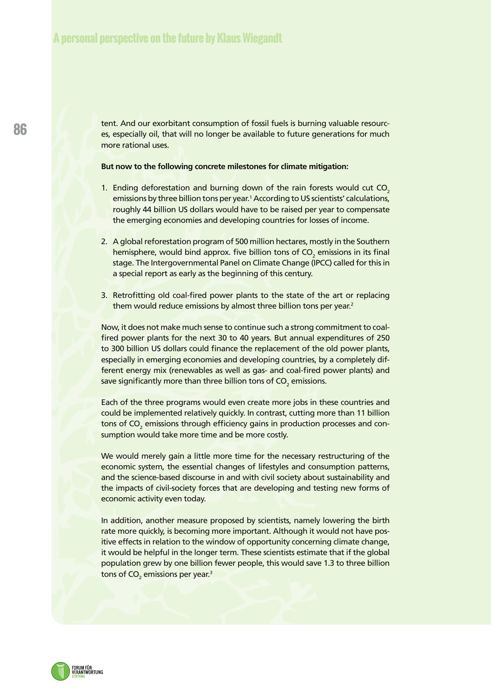tent. And our exorbitant consumption of fossil fuels is burning valuable resources, especially oil, that will no longer be available to future generations for much more rational uses.

**But now to the following concrete milestones for climate mitigation:**

- 1. Ending deforestation and burning down of the rain forests would cut  $CO<sub>2</sub>$ emissions by three billion tons per year.<sup>1</sup> According to US scientists' calculations, roughly 44 billion US dollars would have to be raised per year to compensate the emerging economies and developing countries for losses of income.
- 2. A global reforestation program of 500 million hectares, mostly in the Southern hemisphere, would bind approx. five billion tons of CO<sub>2</sub> emissions in its final stage. The Intergovernmental Panel on Climate Change (IPCC) called for this in a special report as early as the beginning of this century.
- 3. Retrofitting old coal-fired power plants to the state of the art or replacing them would reduce emissions by almost three billion tons per year.<sup>2</sup>

Now, it does not make much sense to continue such a strong commitment to coalfired power plants for the next 30 to 40 years. But annual expenditures of 250 to 300 billion US dollars could finance the replacement of the old power plants, especially in emerging economies and developing countries, by a completely different energy mix (renewables as well as gas- and coal-fired power plants) and save significantly more than three billion tons of CO $_{\tiny 2}$  emissions.

Each of the three programs would even create more jobs in these countries and could be implemented relatively quickly. In contrast, cutting more than 11 billion tons of CO<sub>2</sub> emissions through efficiency gains in production processes and consumption would take more time and be more costly.

We would merely gain a little more time for the necessary restructuring of the economic system, the essential changes of lifestyles and consumption patterns, and the science-based discourse in and with civil society about sustainability and the impacts of civil-society forces that are developing and testing new forms of economic activity even today.

In addition, another measure proposed by scientists, namely lowering the birth rate more quickly, is becoming more important. Although it would not have positive effects in relation to the window of opportunity concerning climate change, it would be helpful in the longer term. These scientists estimate that if the global population grew by one billion fewer people, this would save 1.3 to three billion tons of CO<sub>2</sub> emissions per year.<sup>3</sup>